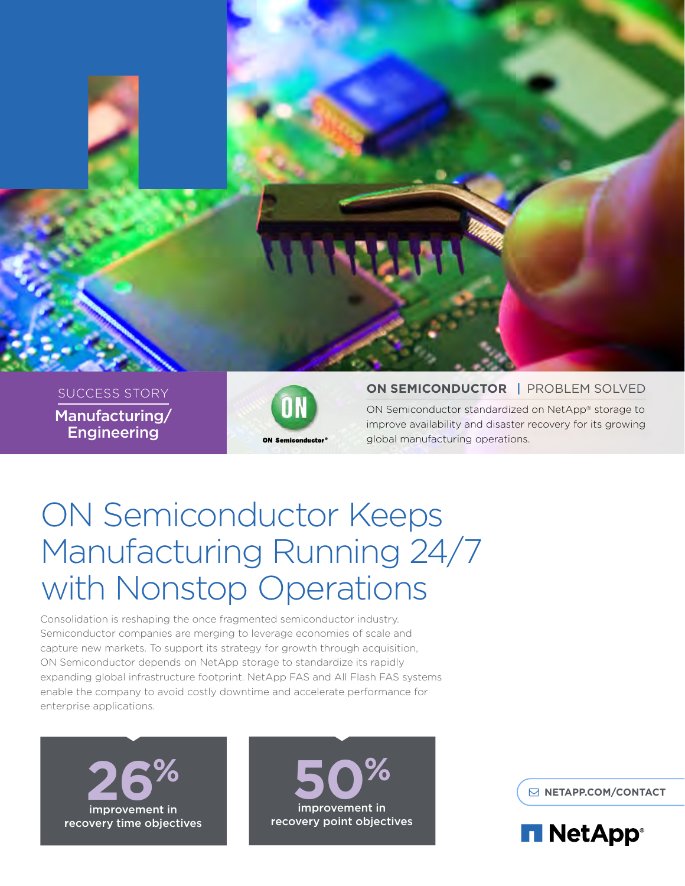

SUCCESS STORY Manufacturing/ **Engineering** 



## **ON SEMICONDUCTOR** | PROBLEM SOLVED

ON Semiconductor standardized on NetApp® storage to improve availability and disaster recovery for its growing global manufacturing operations.

# ON Semiconductor Keeps Manufacturing Running 24/7 with Nonstop Operations

Consolidation is reshaping the once fragmented semiconductor industry. Semiconductor companies are merging to leverage economies of scale and capture new markets. To support its strategy for growth through acquisition, ON Semiconductor depends on NetApp storage to standardize its rapidly expanding global infrastructure footprint. NetApp FAS and All Flash FAS systems enable the company to avoid costly downtime and accelerate performance for enterprise applications.





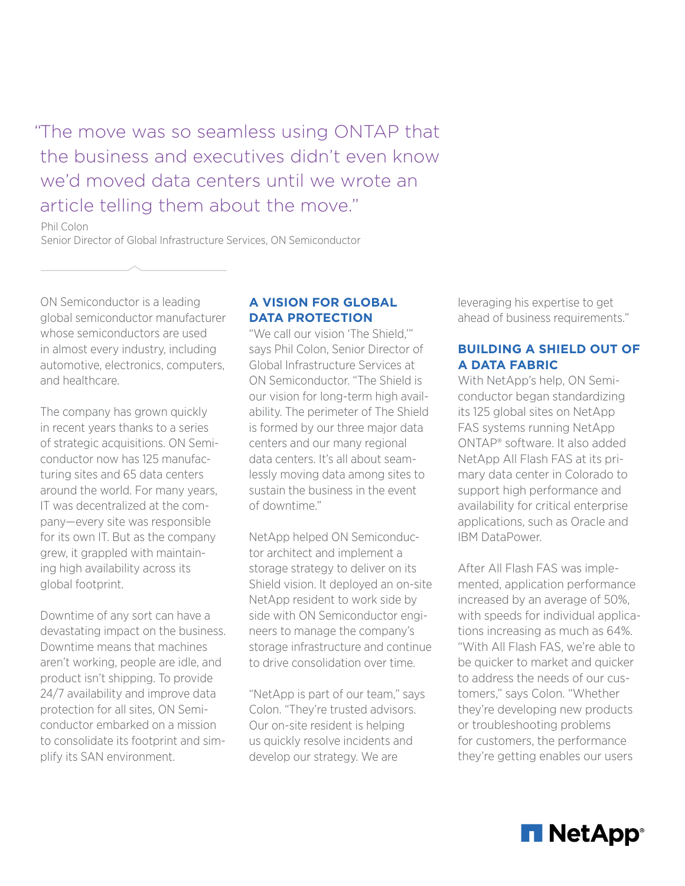"The move was so seamless using ONTAP that the business and executives didn't even know we'd moved data centers until we wrote an article telling them about the move."

Phil Colon

Senior Director of Global Infrastructure Services, ON Semiconductor

ON Semiconductor is a leading global semiconductor manufacturer whose semiconductors are used in almost every industry, including automotive, electronics, computers, and healthcare.

The company has grown quickly in recent years thanks to a series of strategic acquisitions. ON Semiconductor now has 125 manufacturing sites and 65 data centers around the world. For many years, IT was decentralized at the company—every site was responsible for its own IT. But as the company grew, it grappled with maintaining high availability across its global footprint.

Downtime of any sort can have a devastating impact on the business. Downtime means that machines aren't working, people are idle, and product isn't shipping. To provide 24/7 availability and improve data protection for all sites, ON Semiconductor embarked on a mission to consolidate its footprint and simplify its SAN environment.

# **A VISION FOR GLOBAL DATA PROTECTION**

"We call our vision 'The Shield,'" says Phil Colon, Senior Director of Global Infrastructure Services at ON Semiconductor. "The Shield is our vision for long-term high availability. The perimeter of The Shield is formed by our three major data centers and our many regional data centers. It's all about seamlessly moving data among sites to sustain the business in the event of downtime."

NetApp helped ON Semiconductor architect and implement a storage strategy to deliver on its Shield vision. It deployed an on-site NetApp resident to work side by side with ON Semiconductor engineers to manage the company's storage infrastructure and continue to drive consolidation over time.

"NetApp is part of our team," says Colon. "They're trusted advisors. Our on-site resident is helping us quickly resolve incidents and develop our strategy. We are

leveraging his expertise to get ahead of business requirements."

# **BUILDING A SHIELD OUT OF A DATA FABRIC**

With NetApp's help, ON Semiconductor began standardizing its 125 global sites on NetApp FAS systems running NetApp ONTAP® software. It also added NetApp All Flash FAS at its primary data center in Colorado to support high performance and availability for critical enterprise applications, such as Oracle and IBM DataPower.

After All Flash FAS was implemented, application performance increased by an average of 50%, with speeds for individual applications increasing as much as 64%. "With All Flash FAS, we're able to be quicker to market and quicker to address the needs of our customers," says Colon. "Whether they're developing new products or troubleshooting problems for customers, the performance they're getting enables our users

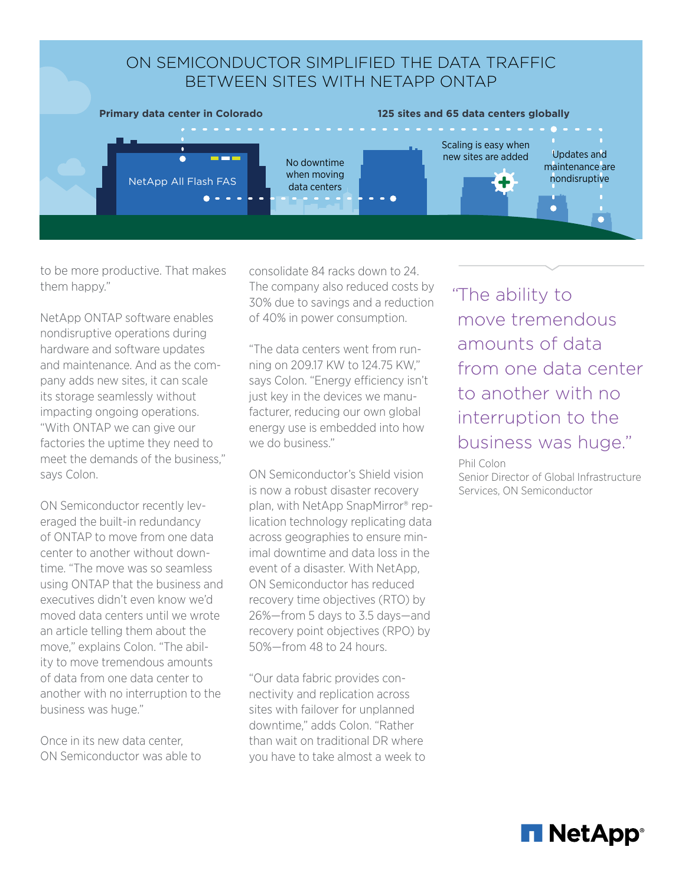

to be more productive. That makes them happy."

NetApp ONTAP software enables nondisruptive operations during hardware and software updates and maintenance. And as the company adds new sites, it can scale its storage seamlessly without impacting ongoing operations. "With ONTAP we can give our factories the uptime they need to meet the demands of the business," says Colon.

ON Semiconductor recently leveraged the built-in redundancy of ONTAP to move from one data center to another without downtime. "The move was so seamless using ONTAP that the business and executives didn't even know we'd moved data centers until we wrote an article telling them about the move," explains Colon. "The ability to move tremendous amounts of data from one data center to another with no interruption to the business was huge."

Once in its new data center, ON Semiconductor was able to consolidate 84 racks down to 24. The company also reduced costs by 30% due to savings and a reduction of 40% in power consumption.

"The data centers went from running on 209.17 KW to 124.75 KW," says Colon. "Energy efficiency isn't just key in the devices we manufacturer, reducing our own global energy use is embedded into how we do business."

ON Semiconductor's Shield vision is now a robust disaster recovery plan, with NetApp SnapMirror® replication technology replicating data across geographies to ensure minimal downtime and data loss in the event of a disaster. With NetApp, ON Semiconductor has reduced recovery time objectives (RTO) by 26%—from 5 days to 3.5 days—and recovery point objectives (RPO) by 50%—from 48 to 24 hours.

"Our data fabric provides connectivity and replication across sites with failover for unplanned downtime," adds Colon. "Rather than wait on traditional DR where you have to take almost a week to "The ability to move tremendous amounts of data from one data center to another with no interruption to the business was huge."

Phil Colon

Senior Director of Global Infrastructure Services, ON Semiconductor